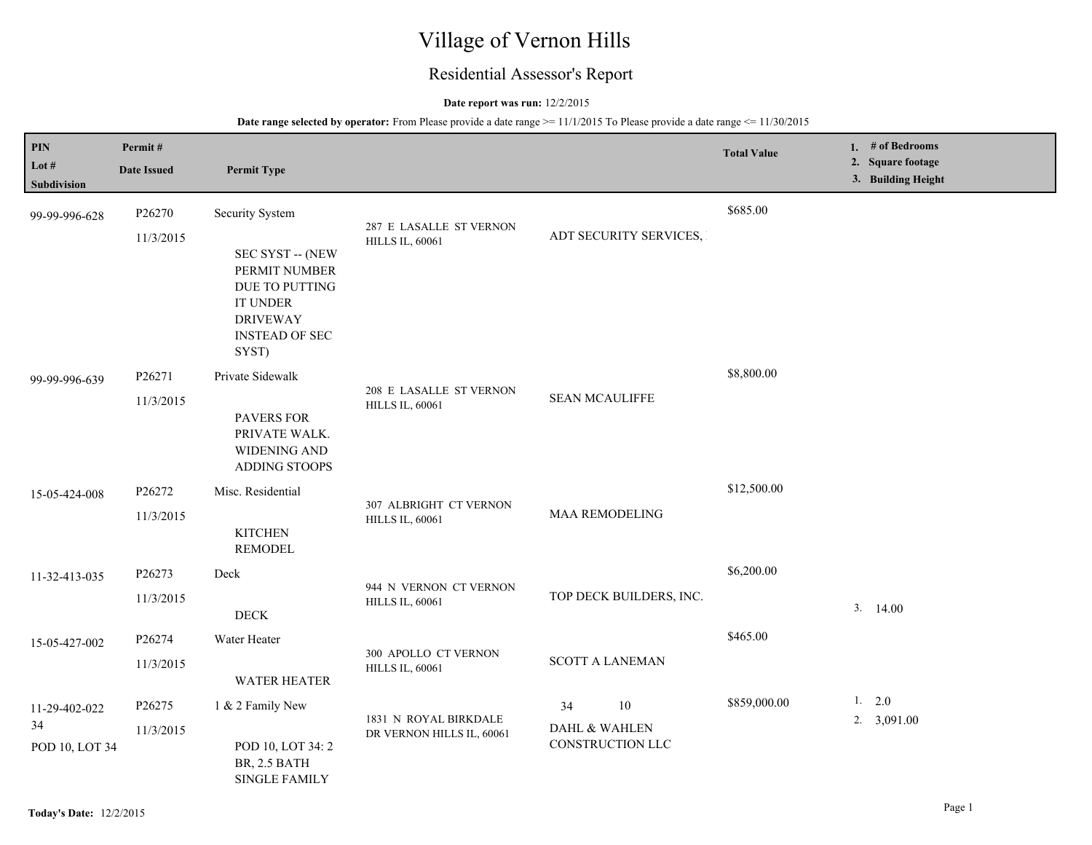# Village of Vernon Hills

# Residential Assessor's Report

# **Date report was run:** 12/2/2015

| PIN<br>Lot $#$<br>Subdivision         | Permit#<br><b>Date Issued</b> | <b>Permit Type</b>                                                                                                                    |                                                    |                                               | <b>Total Value</b> | 1. $#$ of Bedrooms<br>2. Square footage<br>3. Building Height |
|---------------------------------------|-------------------------------|---------------------------------------------------------------------------------------------------------------------------------------|----------------------------------------------------|-----------------------------------------------|--------------------|---------------------------------------------------------------|
| 99-99-996-628                         | P26270<br>11/3/2015           | Security System<br>SEC SYST -- (NEW<br>PERMIT NUMBER<br>DUE TO PUTTING<br><b>IT UNDER</b><br><b>DRIVEWAY</b><br><b>INSTEAD OF SEC</b> | 287 E LASALLE ST VERNON<br><b>HILLS IL, 60061</b>  | ADT SECURITY SERVICES,                        | \$685.00           |                                                               |
| 99-99-996-639                         | P26271<br>11/3/2015           | SYST)<br>Private Sidewalk<br><b>PAVERS FOR</b><br>PRIVATE WALK.<br>WIDENING AND<br><b>ADDING STOOPS</b>                               | 208 E LASALLE ST VERNON<br><b>HILLS IL, 60061</b>  | <b>SEAN MCAULIFFE</b>                         | \$8,800.00         |                                                               |
| 15-05-424-008                         | P26272<br>11/3/2015           | Misc. Residential<br><b>KITCHEN</b><br><b>REMODEL</b>                                                                                 | 307 ALBRIGHT CT VERNON<br><b>HILLS IL, 60061</b>   | <b>MAA REMODELING</b>                         | \$12,500.00        |                                                               |
| 11-32-413-035                         | P26273<br>11/3/2015           | Deck<br><b>DECK</b>                                                                                                                   | 944 N VERNON CT VERNON<br><b>HILLS IL, 60061</b>   | TOP DECK BUILDERS, INC.                       | \$6,200.00         | 3.<br>14.00                                                   |
| 15-05-427-002                         | P26274<br>11/3/2015           | Water Heater<br><b>WATER HEATER</b>                                                                                                   | 300 APOLLO CT VERNON<br><b>HILLS IL, 60061</b>     | <b>SCOTT A LANEMAN</b>                        | \$465.00           |                                                               |
| 11-29-402-022<br>34<br>POD 10, LOT 34 | P26275<br>11/3/2015           | 1 & 2 Family New<br>POD 10, LOT 34: 2<br>BR, 2.5 BATH<br><b>SINGLE FAMILY</b>                                                         | 1831 N ROYAL BIRKDALE<br>DR VERNON HILLS IL, 60061 | 10<br>34<br>DAHL & WAHLEN<br>CONSTRUCTION LLC | \$859,000.00       | 1. 2.0<br>2. $3,091.00$                                       |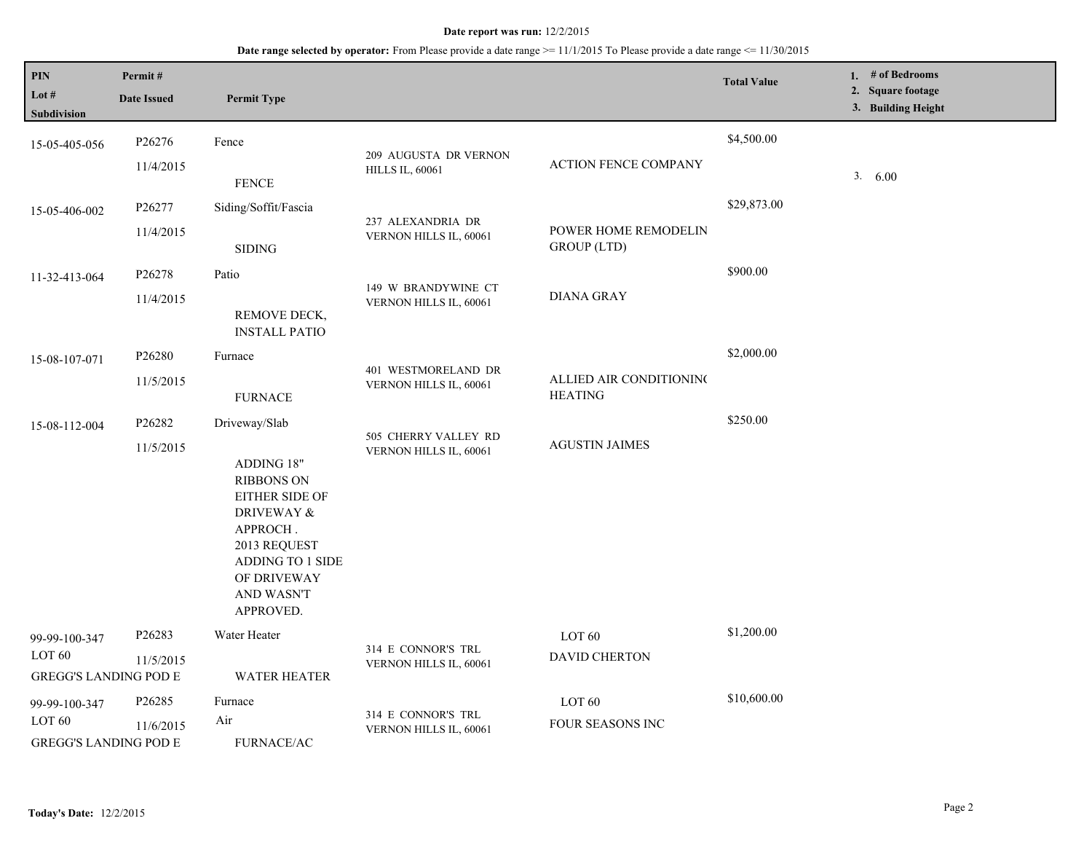| PIN<br>Lot #<br>Subdivision                                        | Permit#<br><b>Date Issued</b> | <b>Permit Type</b>                                                                                                                                                         |                                                 |                                            | <b>Total Value</b> | 1. # of Bedrooms<br>2. Square footage<br>3. Building Height |
|--------------------------------------------------------------------|-------------------------------|----------------------------------------------------------------------------------------------------------------------------------------------------------------------------|-------------------------------------------------|--------------------------------------------|--------------------|-------------------------------------------------------------|
| 15-05-405-056                                                      | P26276<br>11/4/2015           | Fence<br><b>FENCE</b>                                                                                                                                                      | 209 AUGUSTA DR VERNON<br><b>HILLS IL, 60061</b> | <b>ACTION FENCE COMPANY</b>                | \$4,500.00         | 3.<br>6.00                                                  |
| 15-05-406-002                                                      | P26277<br>11/4/2015           | Siding/Soffit/Fascia<br><b>SIDING</b>                                                                                                                                      | 237 ALEXANDRIA DR<br>VERNON HILLS IL, 60061     | POWER HOME REMODELIN<br><b>GROUP</b> (LTD) | \$29,873.00        |                                                             |
| 11-32-413-064                                                      | P26278<br>11/4/2015           | Patio<br>REMOVE DECK,<br><b>INSTALL PATIO</b>                                                                                                                              | 149 W BRANDYWINE CT<br>VERNON HILLS IL, 60061   | <b>DIANA GRAY</b>                          | \$900.00           |                                                             |
| 15-08-107-071                                                      | P26280<br>11/5/2015           | Furnace<br><b>FURNACE</b>                                                                                                                                                  | 401 WESTMORELAND DR<br>VERNON HILLS IL, 60061   | ALLIED AIR CONDITIONING<br><b>HEATING</b>  | \$2,000.00         |                                                             |
| 15-08-112-004                                                      | P26282<br>11/5/2015           | Driveway/Slab<br>ADDING 18"<br><b>RIBBONS ON</b><br>EITHER SIDE OF<br>DRIVEWAY &<br>APPROCH.<br>2013 REQUEST<br>ADDING TO 1 SIDE<br>OF DRIVEWAY<br>AND WASN'T<br>APPROVED. | 505 CHERRY VALLEY RD<br>VERNON HILLS IL, 60061  | <b>AGUSTIN JAIMES</b>                      | \$250.00           |                                                             |
| 99-99-100-347<br>LOT <sub>60</sub><br><b>GREGG'S LANDING POD E</b> | P26283<br>11/5/2015           | Water Heater<br><b>WATER HEATER</b>                                                                                                                                        | 314 E CONNOR'S TRL<br>VERNON HILLS IL, 60061    | LOT <sub>60</sub><br><b>DAVID CHERTON</b>  | \$1,200.00         |                                                             |
| 99-99-100-347<br>LOT 60<br><b>GREGG'S LANDING POD E</b>            | P26285<br>11/6/2015           | Furnace<br>Air<br><b>FURNACE/AC</b>                                                                                                                                        | 314 E CONNOR'S TRL<br>VERNON HILLS IL, 60061    | LOT <sub>60</sub><br>FOUR SEASONS INC      | \$10,600.00        |                                                             |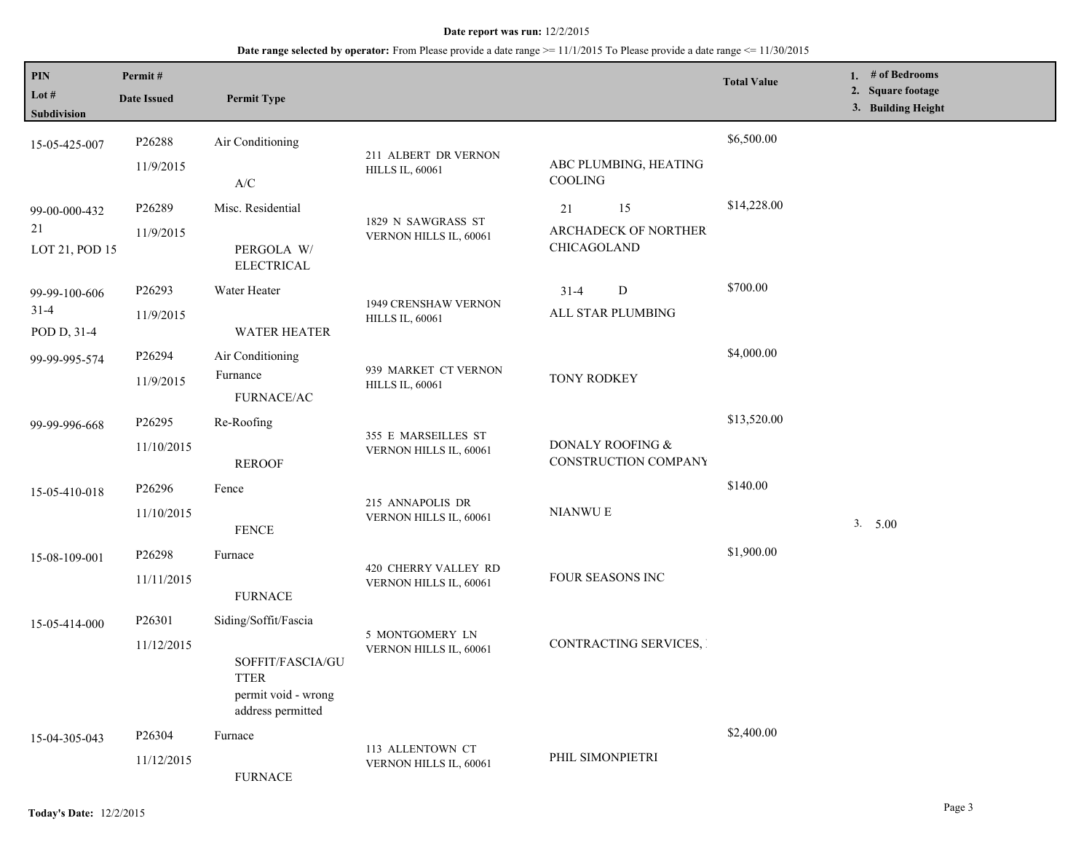| <b>PIN</b><br>Lot $#$<br>Subdivision | Permit#<br><b>Date Issued</b> | <b>Permit Type</b>                                                          |                        |                                          | <b>Total Value</b> | 1. # of Bedrooms<br>2. Square footage<br>3. Building Height |
|--------------------------------------|-------------------------------|-----------------------------------------------------------------------------|------------------------|------------------------------------------|--------------------|-------------------------------------------------------------|
| 15-05-425-007                        | P26288                        | Air Conditioning                                                            | 211 ALBERT DR VERNON   |                                          | \$6,500.00         |                                                             |
|                                      | 11/9/2015                     | $\ensuremath{\mathsf{A}}\xspace/\ensuremath{\mathsf{C}}\xspace$             | <b>HILLS IL, 60061</b> | ABC PLUMBING, HEATING<br>COOLING         |                    |                                                             |
| 99-00-000-432                        | P26289                        | Misc. Residential                                                           | 1829 N SAWGRASS ST     | 15<br>21                                 | \$14,228.00        |                                                             |
| 21<br>LOT 21, POD 15                 | 11/9/2015                     | PERGOLA W/<br><b>ELECTRICAL</b>                                             | VERNON HILLS IL, 60061 | ARCHADECK OF NORTHER<br>CHICAGOLAND      |                    |                                                             |
| 99-99-100-606                        | P26293                        | Water Heater                                                                | 1949 CRENSHAW VERNON   | ${\bf D}$<br>$31 - 4$                    | \$700.00           |                                                             |
| $31-4$<br>POD D, 31-4                | 11/9/2015                     | <b>WATER HEATER</b>                                                         | <b>HILLS IL, 60061</b> | ALL STAR PLUMBING                        |                    |                                                             |
| 99-99-995-574                        | P26294                        | Air Conditioning                                                            | 939 MARKET CT VERNON   |                                          | \$4,000.00         |                                                             |
|                                      | 11/9/2015                     | Furnance<br><b>FURNACE/AC</b>                                               | <b>HILLS IL, 60061</b> | <b>TONY RODKEY</b>                       |                    |                                                             |
| 99-99-996-668                        | P26295                        | Re-Roofing                                                                  | 355 E MARSEILLES ST    |                                          | \$13,520.00        |                                                             |
|                                      | 11/10/2015                    | <b>REROOF</b>                                                               | VERNON HILLS IL, 60061 | DONALY ROOFING &<br>CONSTRUCTION COMPANY |                    |                                                             |
| 15-05-410-018                        | P26296                        | Fence                                                                       | 215 ANNAPOLIS DR       |                                          | \$140.00           |                                                             |
|                                      | 11/10/2015                    | <b>FENCE</b>                                                                | VERNON HILLS IL, 60061 | <b>NIANWUE</b>                           |                    | 3. 5.00                                                     |
| 15-08-109-001                        | P26298                        | Furnace                                                                     | 420 CHERRY VALLEY RD   |                                          | \$1,900.00         |                                                             |
|                                      | 11/11/2015                    | <b>FURNACE</b>                                                              | VERNON HILLS IL, 60061 | FOUR SEASONS INC                         |                    |                                                             |
| 15-05-414-000                        | P <sub>26301</sub>            | Siding/Soffit/Fascia                                                        | 5 MONTGOMERY LN        |                                          |                    |                                                             |
|                                      | 11/12/2015                    | SOFFIT/FASCIA/GU<br><b>TTER</b><br>permit void - wrong<br>address permitted | VERNON HILLS IL, 60061 | CONTRACTING SERVICES, I                  |                    |                                                             |
| 15-04-305-043                        | P <sub>26304</sub>            | Furnace                                                                     | 113 ALLENTOWN CT       |                                          | \$2,400.00         |                                                             |
|                                      | 11/12/2015                    | <b>FURNACE</b>                                                              | VERNON HILLS IL, 60061 | PHIL SIMONPIETRI                         |                    |                                                             |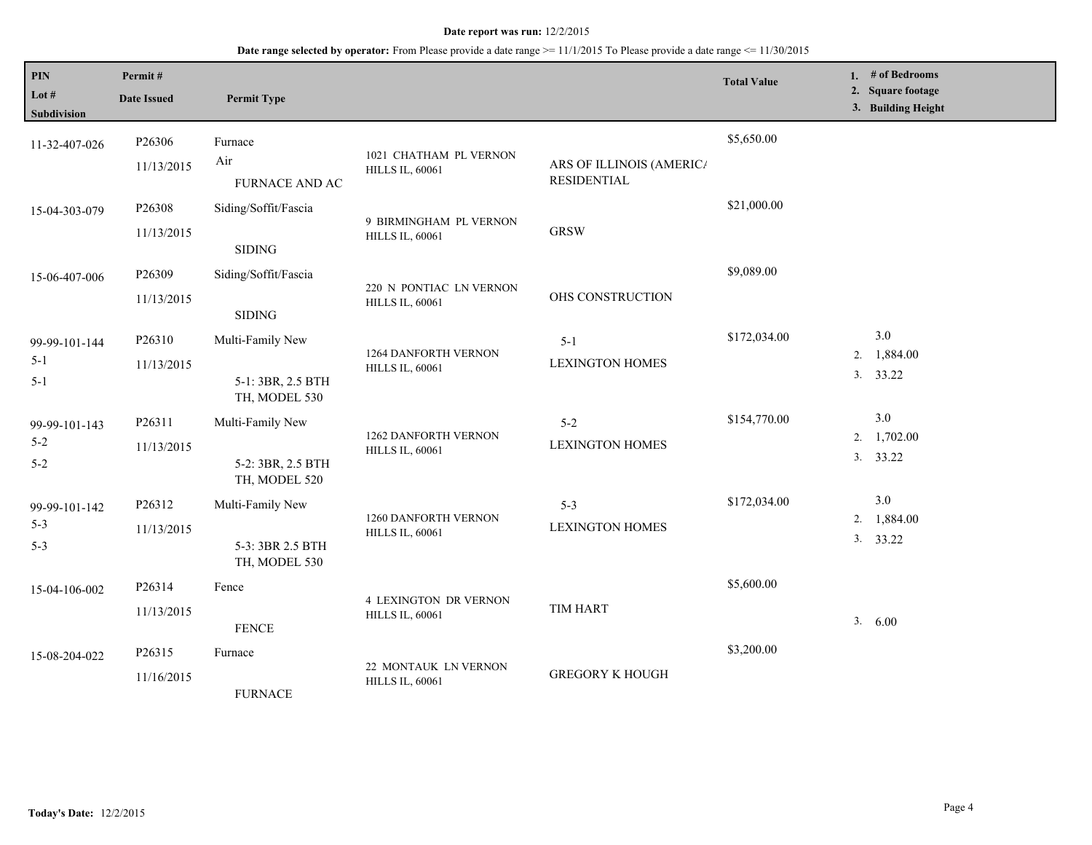| $\mathbf{PIN}$<br>Lot $#$<br><b>Subdivision</b> | Permit#<br><b>Date Issued</b> | <b>Permit Type</b>                                     |                                                        |                                                | <b>Total Value</b> | 1. $#$ of Bedrooms<br>2. Square footage<br>3. Building Height |
|-------------------------------------------------|-------------------------------|--------------------------------------------------------|--------------------------------------------------------|------------------------------------------------|--------------------|---------------------------------------------------------------|
| 11-32-407-026                                   | P26306<br>11/13/2015          | Furnace<br>Air<br>FURNACE AND AC                       | 1021 CHATHAM PL VERNON<br><b>HILLS IL, 60061</b>       | ARS OF ILLINOIS (AMERICA<br><b>RESIDENTIAL</b> | \$5,650.00         |                                                               |
| 15-04-303-079                                   | P26308<br>11/13/2015          | Siding/Soffit/Fascia<br><b>SIDING</b>                  | 9 BIRMINGHAM PL VERNON<br><b>HILLS IL, 60061</b>       | <b>GRSW</b>                                    | \$21,000.00        |                                                               |
| 15-06-407-006                                   | P26309<br>11/13/2015          | Siding/Soffit/Fascia<br><b>SIDING</b>                  | 220 N PONTIAC LN VERNON<br><b>HILLS IL, 60061</b>      | OHS CONSTRUCTION                               | \$9,089.00         |                                                               |
| 99-99-101-144<br>$5-1$<br>$5 - 1$               | P26310<br>11/13/2015          | Multi-Family New<br>5-1: 3BR, 2.5 BTH<br>TH, MODEL 530 | <b>1264 DANFORTH VERNON</b><br><b>HILLS IL, 60061</b>  | $5 - 1$<br><b>LEXINGTON HOMES</b>              | \$172,034.00       | 3.0<br>1,884.00<br>2.<br>3. 33.22                             |
| 99-99-101-143<br>$5 - 2$<br>$5 - 2$             | P26311<br>11/13/2015          | Multi-Family New<br>5-2: 3BR, 2.5 BTH<br>TH, MODEL 520 | <b>1262 DANFORTH VERNON</b><br><b>HILLS IL, 60061</b>  | $5 - 2$<br><b>LEXINGTON HOMES</b>              | \$154,770.00       | 3.0<br>1,702.00<br>2.<br>3. 33.22                             |
| 99-99-101-142<br>$5 - 3$<br>$5 - 3$             | P26312<br>11/13/2015          | Multi-Family New<br>5-3: 3BR 2.5 BTH<br>TH, MODEL 530  | 1260 DANFORTH VERNON<br><b>HILLS IL, 60061</b>         | $5 - 3$<br><b>LEXINGTON HOMES</b>              | \$172,034.00       | 3.0<br>1,884.00<br>2.<br>3. 33.22                             |
| 15-04-106-002                                   | P26314<br>11/13/2015          | Fence<br><b>FENCE</b>                                  | <b>4 LEXINGTON DR VERNON</b><br><b>HILLS IL, 60061</b> | <b>TIM HART</b>                                | \$5,600.00         | 3. 6.00                                                       |
| 15-08-204-022                                   | P26315<br>11/16/2015          | Furnace<br><b>FURNACE</b>                              | 22 MONTAUK LN VERNON<br><b>HILLS IL, 60061</b>         | <b>GREGORY K HOUGH</b>                         | \$3,200.00         |                                                               |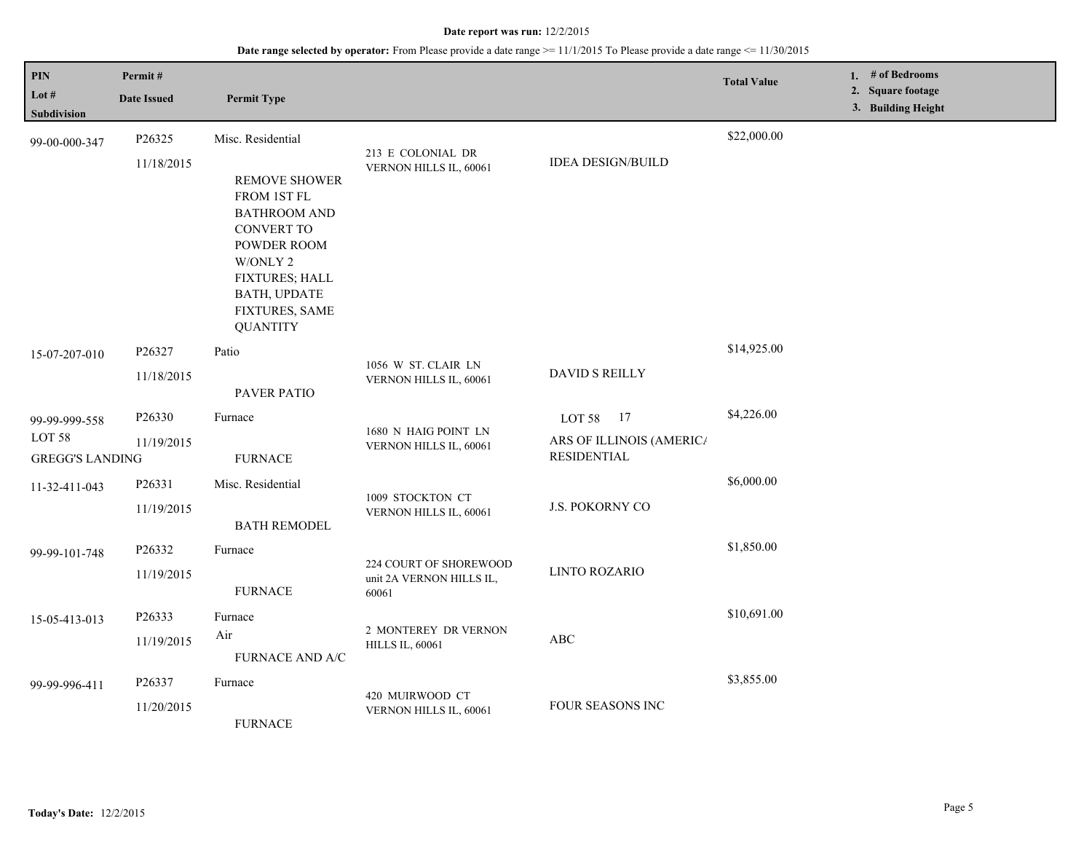| PIN<br>Lot #<br><b>Subdivision</b> | Permit#<br><b>Date Issued</b> | <b>Permit Type</b>                                                                                                                                                                       |                                             |                                                | <b>Total Value</b> | 1. # of Bedrooms<br>2. Square footage<br>3. Building Height |
|------------------------------------|-------------------------------|------------------------------------------------------------------------------------------------------------------------------------------------------------------------------------------|---------------------------------------------|------------------------------------------------|--------------------|-------------------------------------------------------------|
| 99-00-000-347                      | P26325                        | Misc. Residential                                                                                                                                                                        |                                             |                                                | \$22,000.00        |                                                             |
|                                    | 11/18/2015                    | <b>REMOVE SHOWER</b><br>FROM 1ST FL<br><b>BATHROOM AND</b><br><b>CONVERT TO</b><br>POWDER ROOM<br>W/ONLY 2<br>FIXTURES; HALL<br><b>BATH, UPDATE</b><br>FIXTURES, SAME<br><b>QUANTITY</b> | 213 E COLONIAL DR<br>VERNON HILLS IL, 60061 | <b>IDEA DESIGN/BUILD</b>                       |                    |                                                             |
| 15-07-207-010                      | P26327                        | Patio                                                                                                                                                                                    | 1056 W ST. CLAIR LN                         | <b>DAVID S REILLY</b>                          | \$14,925.00        |                                                             |
|                                    | 11/18/2015                    | PAVER PATIO                                                                                                                                                                              | VERNON HILLS IL, 60061                      |                                                |                    |                                                             |
| 99-99-999-558                      | P26330                        | Furnace                                                                                                                                                                                  | 1680 N HAIG POINT LN                        | LOT 58 17                                      | \$4,226.00         |                                                             |
| LOT 58<br><b>GREGG'S LANDING</b>   | 11/19/2015                    | <b>FURNACE</b>                                                                                                                                                                           | VERNON HILLS IL, 60061                      | ARS OF ILLINOIS (AMERICA<br><b>RESIDENTIAL</b> |                    |                                                             |
| 11-32-411-043                      | P26331                        | Misc. Residential                                                                                                                                                                        | 1009 STOCKTON CT<br>VERNON HILLS IL, 60061  | <b>J.S. POKORNY CO</b>                         | \$6,000.00         |                                                             |
|                                    | 11/19/2015                    | <b>BATH REMODEL</b>                                                                                                                                                                      |                                             |                                                |                    |                                                             |
| 99-99-101-748                      | P26332                        | Furnace                                                                                                                                                                                  | 224 COURT OF SHOREWOOD                      | <b>LINTO ROZARIO</b>                           | \$1,850.00         |                                                             |
|                                    | 11/19/2015                    | <b>FURNACE</b>                                                                                                                                                                           | unit 2A VERNON HILLS IL,<br>60061           |                                                |                    |                                                             |
| 15-05-413-013                      | P26333                        | Furnace                                                                                                                                                                                  | 2 MONTEREY DR VERNON                        | $\mathbf A\mathbf B\mathbf C$                  | \$10,691.00        |                                                             |
|                                    | 11/19/2015                    | Air<br>FURNACE AND A/C                                                                                                                                                                   | <b>HILLS IL, 60061</b>                      |                                                |                    |                                                             |
| 99-99-996-411                      | P26337                        | Furnace                                                                                                                                                                                  |                                             |                                                | \$3,855.00         |                                                             |
|                                    | 11/20/2015<br><b>FURNACE</b>  | 420 MUIRWOOD CT<br>FOUR SEASONS INC<br>VERNON HILLS IL, 60061                                                                                                                            |                                             |                                                |                    |                                                             |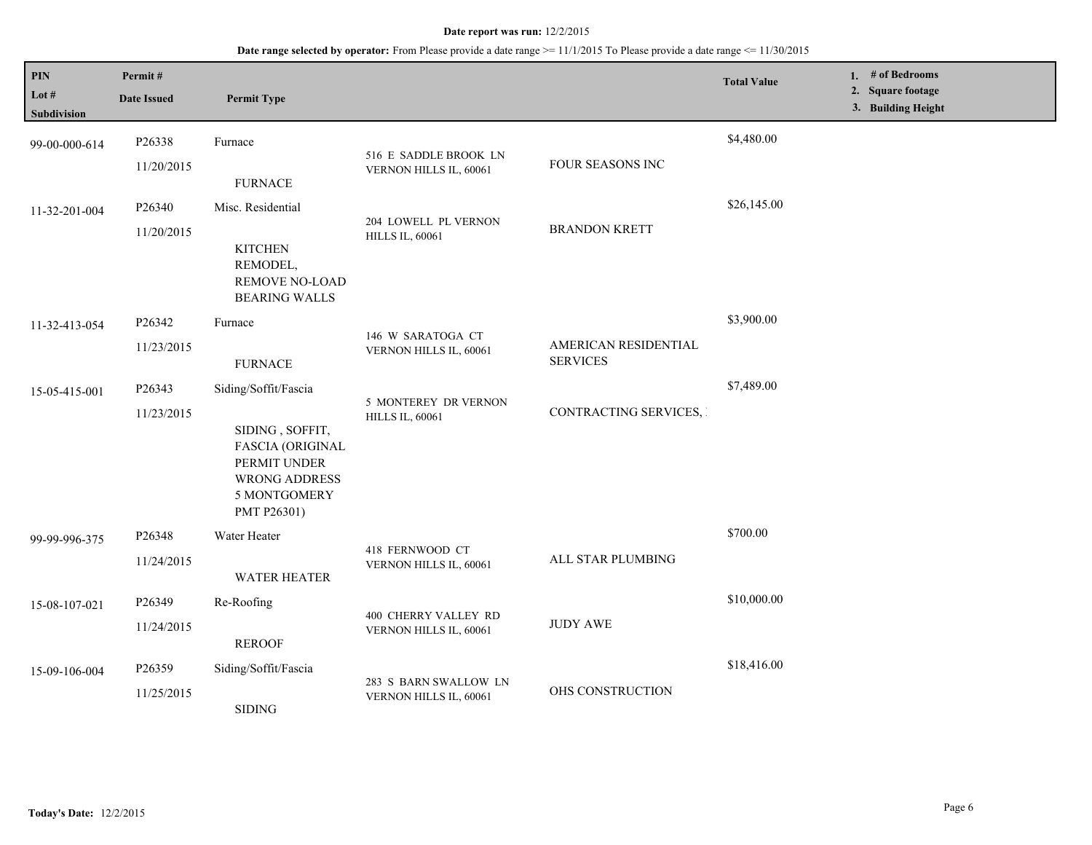# **Date range selected by operator:** From Please provide a date range >= 11/1/2015 To Please provide a date range <= 11/30/2015

| PIN<br>Lot $#$<br><b>Subdivision</b> | Permit#<br><b>Date Issued</b> | <b>Permit Type</b>                                                                                                                        |                                                 |                                         | <b>Total Value</b> |  | 1. # of Bedrooms<br>2. Square footage<br>3. Building Height |  |
|--------------------------------------|-------------------------------|-------------------------------------------------------------------------------------------------------------------------------------------|-------------------------------------------------|-----------------------------------------|--------------------|--|-------------------------------------------------------------|--|
| 99-00-000-614                        | P26338<br>11/20/2015          | Furnace<br><b>FURNACE</b>                                                                                                                 | 516 E SADDLE BROOK LN<br>VERNON HILLS IL, 60061 | FOUR SEASONS INC                        | \$4,480.00         |  |                                                             |  |
| 11-32-201-004                        | P26340<br>11/20/2015          | Misc. Residential<br><b>KITCHEN</b><br>REMODEL,<br><b>REMOVE NO-LOAD</b><br><b>BEARING WALLS</b>                                          | 204 LOWELL PL VERNON<br><b>HILLS IL, 60061</b>  | <b>BRANDON KRETT</b>                    | \$26,145.00        |  |                                                             |  |
| 11-32-413-054                        | P26342<br>11/23/2015          | Furnace<br><b>FURNACE</b>                                                                                                                 | 146 W SARATOGA CT<br>VERNON HILLS IL, 60061     | AMERICAN RESIDENTIAL<br><b>SERVICES</b> | \$3,900.00         |  |                                                             |  |
| 15-05-415-001                        | P26343<br>11/23/2015          | Siding/Soffit/Fascia<br>SIDING, SOFFIT,<br><b>FASCIA (ORIGINAL</b><br>PERMIT UNDER<br><b>WRONG ADDRESS</b><br>5 MONTGOMERY<br>PMT P26301) | 5 MONTEREY DR VERNON<br><b>HILLS IL, 60061</b>  | CONTRACTING SERVICES,                   | \$7,489.00         |  |                                                             |  |
| 99-99-996-375                        | P26348<br>11/24/2015          | Water Heater<br><b>WATER HEATER</b>                                                                                                       | 418 FERNWOOD CT<br>VERNON HILLS IL, 60061       | ALL STAR PLUMBING                       | \$700.00           |  |                                                             |  |
| 15-08-107-021                        | P26349<br>11/24/2015          | Re-Roofing<br><b>REROOF</b>                                                                                                               | 400 CHERRY VALLEY RD<br>VERNON HILLS IL, 60061  | <b>JUDY AWE</b>                         | \$10,000.00        |  |                                                             |  |
| 15-09-106-004                        | P26359<br>11/25/2015          | Siding/Soffit/Fascia<br><b>SIDING</b>                                                                                                     | 283 S BARN SWALLOW LN<br>VERNON HILLS IL, 60061 | OHS CONSTRUCTION                        | \$18,416.00        |  |                                                             |  |

L